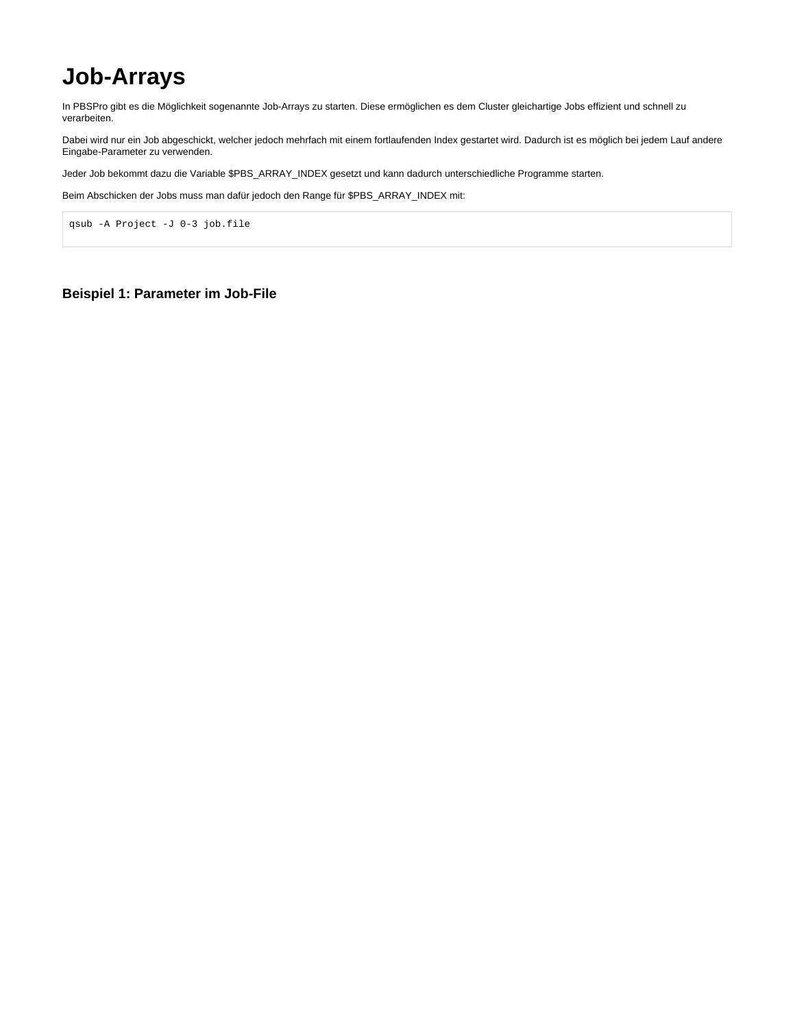## **Job-Arrays**

In PBSPro gibt es die Möglichkeit sogenannte Job-Arrays zu starten. Diese ermöglichen es dem Cluster gleichartige Jobs effizient und schnell zu verarbeiten.

Dabei wird nur ein Job abgeschickt, welcher jedoch mehrfach mit einem fortlaufenden Index gestartet wird. Dadurch ist es möglich bei jedem Lauf andere Eingabe-Parameter zu verwenden.

Jeder Job bekommt dazu die Variable \$PBS\_ARRAY\_INDEX gesetzt und kann dadurch unterschiedliche Programme starten.

Beim Abschicken der Jobs muss man dafür jedoch den Range für \$PBS\_ARRAY\_INDEX mit:

qsub -A Project -J 0-3 job.file

## **Beispiel 1: Parameter im Job-File**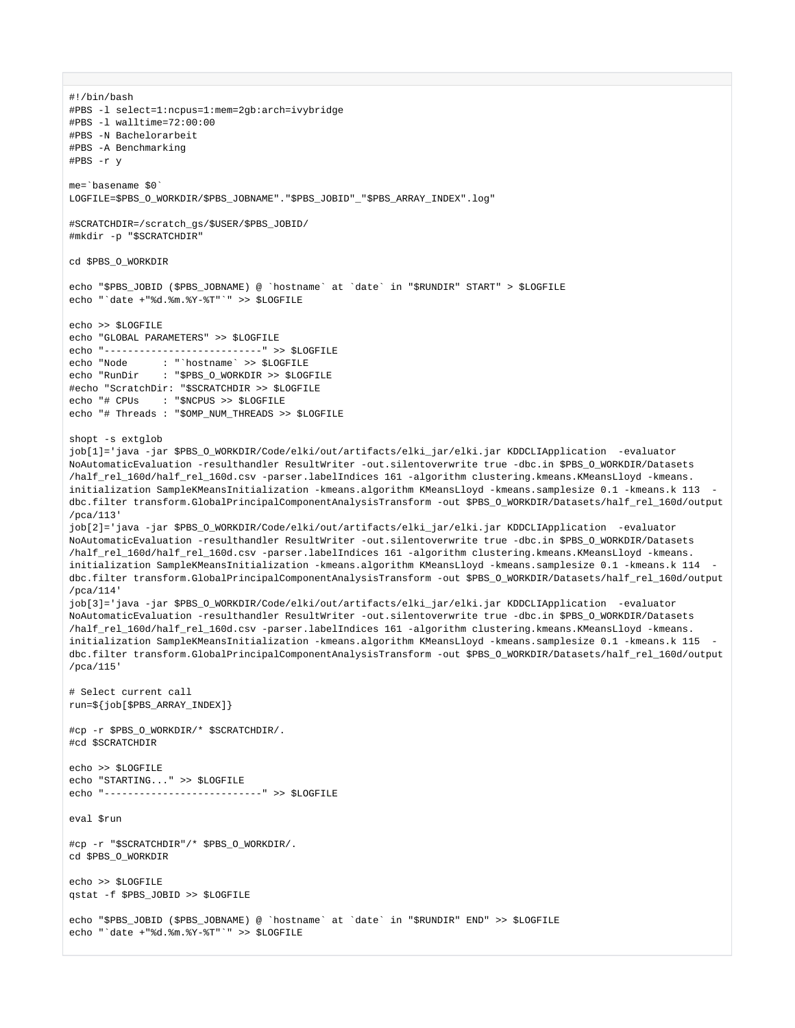#1/hin/hash #PBS -1 select=1:ncpus=1:mem=2qb:arch=ivybridge #PBS -1 walltime=72:00:00 #PRS -N Bachelorarbeit #PBS -A Benchmarking #PBS -r v me='basename \$0' LOGFILE=\$PBS\_O\_WORKDIR/\$PBS\_JOBNAME"."\$PBS\_JOBID"\_"\$PBS\_ARRAY\_INDEX".log" #SCRATCHDIR=/scratch qs/\$USER/\$PBS JOBID/ #mkdir -p "\$SCRATCHDIR" CO SPRS O WORKDIR echo "\$PBS\_JOBID (\$PBS\_JOBNAME) @ `hostname` at `date` in "\$RUNDIR" START" > \$LOGFILE echo "'date +"%d.%m.%Y-%T"'" >> \$LOGFILE echo >> \$LOGFILE echo "GLOBAL PARAMETERS" >> \$LOGFILE echo "---------------------------" >> \$LOGFILE : "`hostname` >> \$LOGFILE echo "Node echo "RunDir : "\$PBS\_O\_WORKDIR >> \$LOGFILE #echo "ScratchDir: "\$SCRATCHDIR >> \$LOGFILE echo "# CPUs : "\$NCPUS >> \$LOGFILE echo "# Threads : "\$OMP\_NUM\_THREADS >> \$LOGFILE shopt -s extglob job[1]='java -jar \$PBS\_0\_WORKDIR/Code/elki/out/artifacts/elki\_jar/elki.jar KDDCLIApplication -evaluator NoAutomaticEvaluation -resulthandler ResultWriter -out.silentoverwrite true -dbc.in \$PBS\_O\_WORKDIR/Datasets /half rel 160d/half rel 160d.csv -parser.labelIndices 161 -algorithm clustering.kmeans.KMeansLloyd -kmeans. initialization SampleKMeansInitialization -kmeans.algorithm KMeansLloyd -kmeans.samplesize 0.1 -kmeans.k 113 dbc.filter transform.GlobalPrincipalComponentAnalysisTransform -out \$PBS\_O\_WORKDIR/Datasets/half\_rel\_160d/output  $/$ pca $/113$ ' job[2]='java -jar \$PBS\_O\_WORKDIR/Code/elki/out/artifacts/elki\_jar/elki.jar KDDCLIApplication -evaluator NoAutomaticEvaluation -resulthandler ResultWriter -out.silentoverwrite true -dbc.in \$PBS\_O\_WORKDIR/Datasets /half rel 160d/half rel 160d.csv -parser.labelIndices 161 -algorithm clustering.kmeans.KMeansLloyd -kmeans. initialization SampleKMeansInitialization -kmeans.algorithm KMeansLloyd -kmeans.samplesize 0.1 -kmeans.k 114 dbc.filter transform.GlobalPrincipalComponentAnalysisTransform -out \$PBS\_O\_WORKDIR/Datasets/half\_rel\_160d/output  $/$ pca $/114$ ' job[3]='java -jar \$PBS 0 WORKDIR/Code/elki/out/artifacts/elki jar/elki.jar KDDCLIApplication -evaluator NoAutomaticEvaluation -resulthandler ResultWriter -out.silentoverwrite true -dbc.in \$PBS\_O\_WORKDIR/Datasets /half\_rel\_160d/half\_rel\_160d.csv -parser.labelIndices 161 -algorithm clustering.kmeans.KMeansLloyd -kmeans. initialization SampleKMeansInitialization -kmeans.algorithm KMeansLloyd -kmeans.samplesize 0.1 -kmeans.k 115 dbc.filter transform.GlobalPrincipalComponentAnalysisTransform -out \$PBS\_O\_WORKDIR/Datasets/half\_rel\_160d/output /pca/115' # Select current call run=\${job[\$PBS\_ARRAY\_INDEX]} #cp -r \$PBS\_O\_WORKDIR/\* \$SCRATCHDIR/. #cd \$SCRATCHDIR echo >> \$LOGFILE echo "STARTING..." >> \$LOGFILE echo "----------------------------- >> SLOGETLE eval Srun #cp -r "\$SCRATCHDIR"/\* \$PBS 0 WORKDIR/. cd SPBS O WORKDIR echo >> SLOGFILE qstat -f \$PBS\_JOBID >> \$LOGFILE echo "\$PBS\_JOBID (\$PBS\_JOBNAME) @ `hostname` at `date` in "\$RUNDIR" END" >> \$LOGFILE echo "'date +"%d.%m.%Y-%T"'" >> \$LOGFILE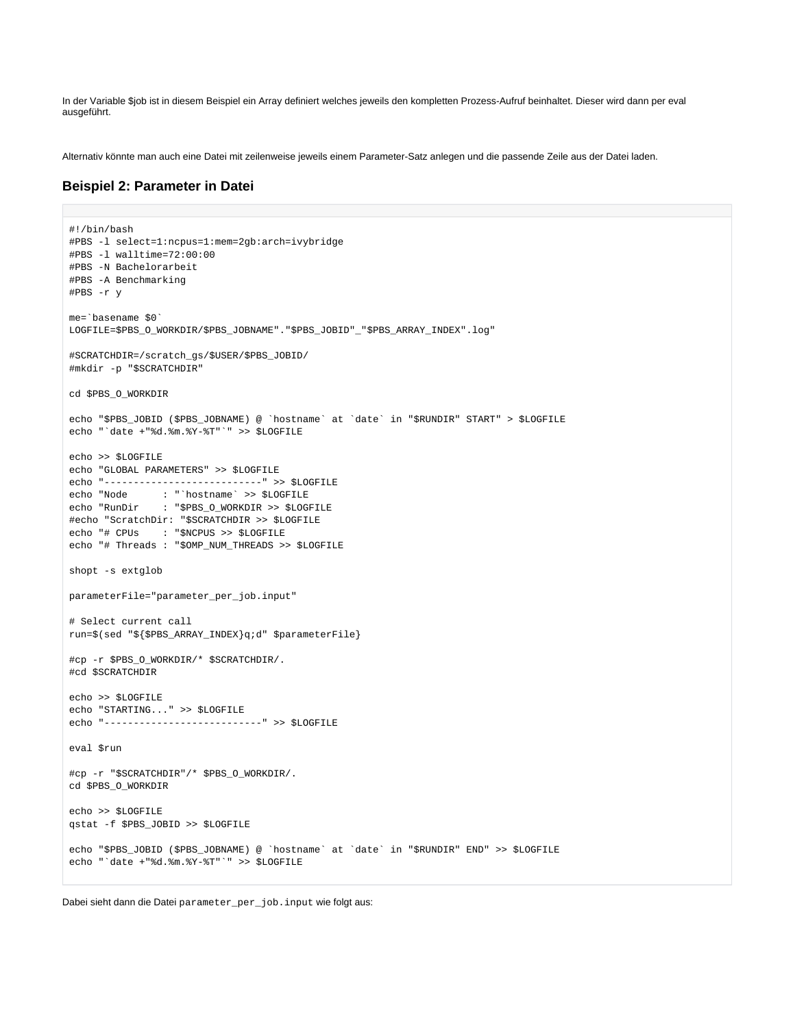In der Variable \$job ist in diesem Beispiel ein Array definiert welches jeweils den kompletten Prozess-Aufruf beinhaltet. Dieser wird dann per eval ausgeführt.

Alternativ könnte man auch eine Datei mit zeilenweise jeweils einem Parameter-Satz anlegen und die passende Zeile aus der Datei laden.

## **Beispiel 2: Parameter in Datei**

```
#!/bin/bash
#PBS -1 select=1:ncpus=1:mem=2gb:arch=ivybridge
#PBS -1 walltime=72:00:00
#PBS -N Bachelorarbeit
#PBS -A Benchmarking
#PBS -r y
me='basename $0'
LOGFILE=$PBS_O_WORKDIR/$PBS_JOBNAME"."$PBS_JOBID"_"$PBS_ARRAY_INDEX".log"
#SCRATCHDIR=/scratch_gs/$USER/$PBS_JOBID/
#mkdir -p "$SCRATCHDIR"
cd $PBS_O_WORKDIR
echo "$PBS_JOBID ($PBS_JOBNAME) @ `hostname` at `date` in "$RUNDIR" START" > $LOGFILE
echo "'date +"%d.%m.%Y-%T"'" >> $LOGFILE
echo >> $LOGFILE
echo "GLOBAL PARAMETERS" >> $LOGFILE
echo "---------------------------" >> $LOGFILE
              : "`hostname` >> $LOGFILE
echo "Node
              : "$PBS_O_WORKDIR >> $LOGFILE
echo "RunDir
#echo "ScratchDir: "$SCRATCHDIR >> $LOGFILE
echo "# CPUs : "$NCPUS >> $LOGFILE
echo "# Threads : "$OMP_NUM_THREADS >> $LOGFILE
shopt -s extglob
parameterFile="parameter_per_job.input"
# Select current call
run=$(sed "${$PBS_ARRAY_INDEX}q;d" $parameterFile}
#cp -r $PBS_O_WORKDIR/* $SCRATCHDIR/.
#cd $SCRATCHDIR
echo >> $LOGFILE
echo "STARTING..." >> $LOGFILE
echo "---------------------------" >> $LOGFILE
eval $run
#cp -r "$SCRATCHDIR"/* $PBS_O_WORKDIR/.
cd $PBS_O_WORKDIR
echo >> $LOGFILE
qstat -f $PBS_JOBID >> $LOGFILE
echo "$PBS_JOBID ($PBS_JOBNAME) @ `hostname` at `date` in "$RUNDIR" END" >> $LOGFILE
echo "'date +"%d.%m.%Y-%T"'" >> $LOGFILE
```